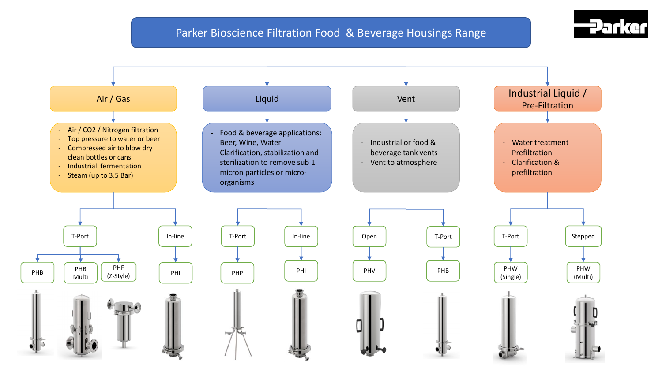